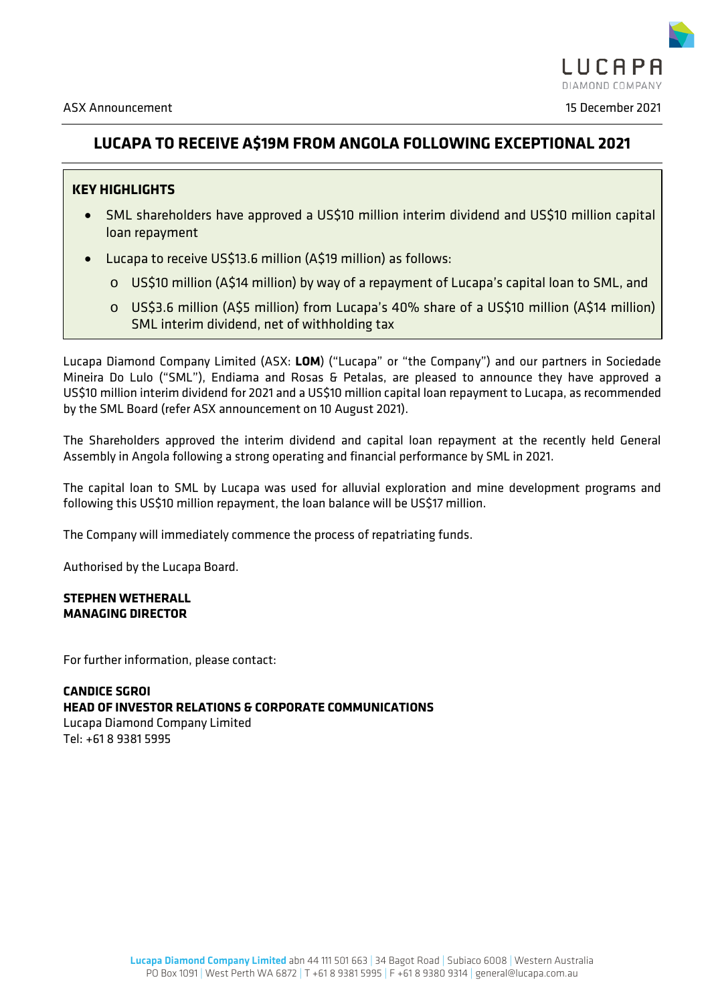

# **LUCAPA TO RECEIVE A\$19M FROM ANGOLA FOLLOWING EXCEPTIONAL 2021**

# **KEY HIGHLIGHTS**

- SML shareholders have approved a US\$10 million interim dividend and US\$10 million capital loan repayment
- Lucapa to receive US\$13.6 million (A\$19 million) as follows:
	- o US\$10 million (A\$14 million) by way of a repayment of Lucapa's capital loan to SML, and
	- o US\$3.6 million (A\$5 million) from Lucapa's 40% share of a US\$10 million (A\$14 million) SML interim dividend, net of withholding tax

Lucapa Diamond Company Limited (ASX: **LOM**) ("Lucapa" or "the Company") and our partners in Sociedade Mineira Do Lulo ("SML"), Endiama and Rosas & Petalas, are pleased to announce they have approved a US\$10 million interim dividend for 2021 and a US\$10 million capital loan repayment to Lucapa, as recommended by the SML Board (refer ASX announcement on 10 August 2021).

The Shareholders approved the interim dividend and capital loan repayment at the recently held General Assembly in Angola following a strong operating and financial performance by SML in 2021.

The capital loan to SML by Lucapa was used for alluvial exploration and mine development programs and following this US\$10 million repayment, the loan balance will be US\$17 million.

The Company will immediately commence the process of repatriating funds.

Authorised by the Lucapa Board.

# **STEPHEN WETHERALL MANAGING DIRECTOR**

For further information, please contact:

# **CANDICE SGROI HEAD OF INVESTOR RELATIONS & CORPORATE COMMUNICATIONS** Lucapa Diamond Company Limited Tel: +61 8 9381 5995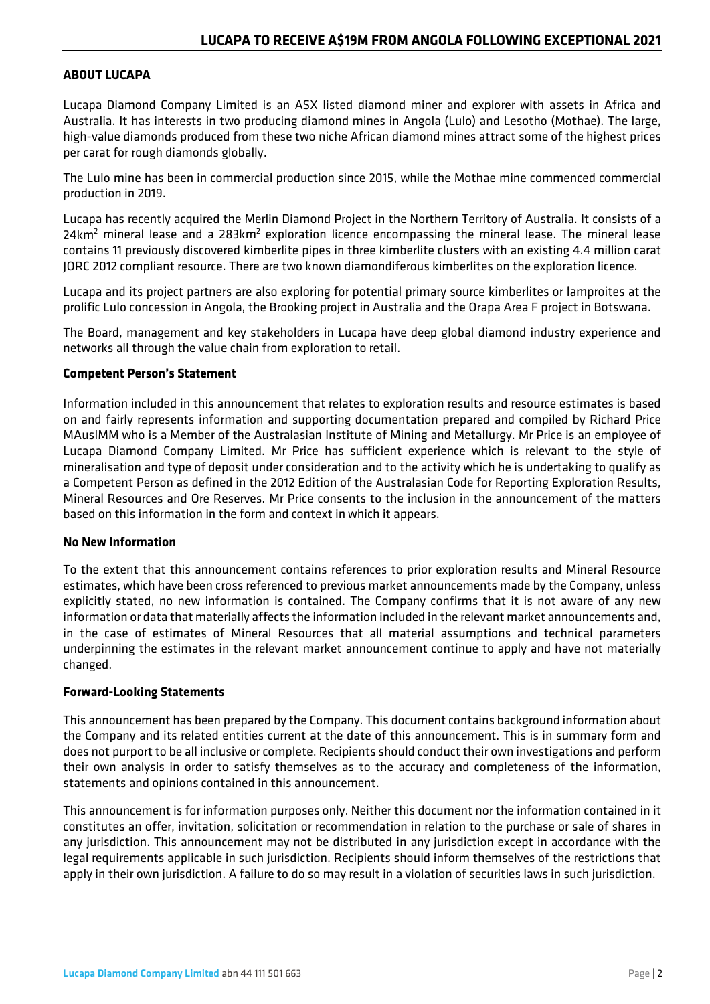### **ABOUT LUCAPA**

Lucapa Diamond Company Limited is an ASX listed diamond miner and explorer with assets in Africa and Australia. It has interests in two producing diamond mines in Angola (Lulo) and Lesotho (Mothae). The large, high-value diamonds produced from these two niche African diamond mines attract some of the highest prices per carat for rough diamonds globally.

The Lulo mine has been in commercial production since 2015, while the Mothae mine commenced commercial production in 2019.

Lucapa has recently acquired the Merlin Diamond Project in the Northern Territory of Australia. It consists of a 24 $km<sup>2</sup>$  mineral lease and a 283 $km<sup>2</sup>$  exploration licence encompassing the mineral lease. The mineral lease contains 11 previously discovered kimberlite pipes in three kimberlite clusters with an existing 4.4 million carat JORC 2012 compliant resource. There are two known diamondiferous kimberlites on the exploration licence.

Lucapa and its project partners are also exploring for potential primary source kimberlites or lamproites at the prolific Lulo concession in Angola, the Brooking project in Australia and the Orapa Area F project in Botswana.

The Board, management and key stakeholders in Lucapa have deep global diamond industry experience and networks all through the value chain from exploration to retail.

#### **Competent Person's Statement**

Information included in this announcement that relates to exploration results and resource estimates is based on and fairly represents information and supporting documentation prepared and compiled by Richard Price MAusIMM who is a Member of the Australasian Institute of Mining and Metallurgy. Mr Price is an employee of Lucapa Diamond Company Limited. Mr Price has sufficient experience which is relevant to the style of mineralisation and type of deposit under consideration and to the activity which he is undertaking to qualify as a Competent Person as defined in the 2012 Edition of the Australasian Code for Reporting Exploration Results, Mineral Resources and Ore Reserves. Mr Price consents to the inclusion in the announcement of the matters based on this information in the form and context in which it appears.

#### **No New Information**

To the extent that this announcement contains references to prior exploration results and Mineral Resource estimates, which have been cross referenced to previous market announcements made by the Company, unless explicitly stated, no new information is contained. The Company confirms that it is not aware of any new information or data that materially affects the information included in the relevant market announcements and, in the case of estimates of Mineral Resources that all material assumptions and technical parameters underpinning the estimates in the relevant market announcement continue to apply and have not materially changed.

#### **Forward-Looking Statements**

This announcement has been prepared by the Company. This document contains background information about the Company and its related entities current at the date of this announcement. This is in summary form and does not purport to be all inclusive or complete. Recipients should conduct their own investigations and perform their own analysis in order to satisfy themselves as to the accuracy and completeness of the information, statements and opinions contained in this announcement.

This announcement is for information purposes only. Neither this document nor the information contained in it constitutes an offer, invitation, solicitation or recommendation in relation to the purchase or sale of shares in any jurisdiction. This announcement may not be distributed in any jurisdiction except in accordance with the legal requirements applicable in such jurisdiction. Recipients should inform themselves of the restrictions that apply in their own jurisdiction. A failure to do so may result in a violation of securities laws in such jurisdiction.